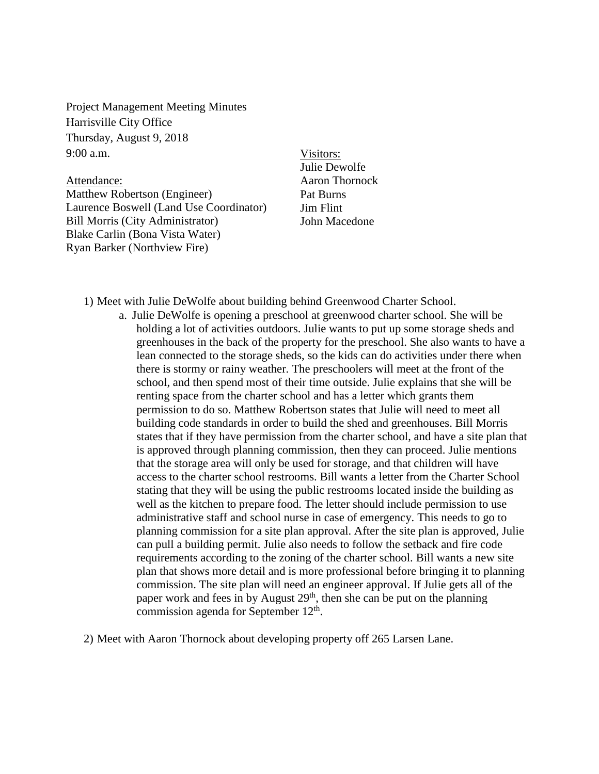Project Management Meeting Minutes Harrisville City Office Thursday, August 9, 2018 9:00 a.m.

Attendance:

Matthew Robertson (Engineer) Laurence Boswell (Land Use Coordinator) Bill Morris (City Administrator) Blake Carlin (Bona Vista Water) Ryan Barker (Northview Fire)

Visitors: Julie Dewolfe Aaron Thornock Pat Burns Jim Flint John Macedone

1) Meet with Julie DeWolfe about building behind Greenwood Charter School.

a. Julie DeWolfe is opening a preschool at greenwood charter school. She will be holding a lot of activities outdoors. Julie wants to put up some storage sheds and greenhouses in the back of the property for the preschool. She also wants to have a lean connected to the storage sheds, so the kids can do activities under there when there is stormy or rainy weather. The preschoolers will meet at the front of the school, and then spend most of their time outside. Julie explains that she will be renting space from the charter school and has a letter which grants them permission to do so. Matthew Robertson states that Julie will need to meet all building code standards in order to build the shed and greenhouses. Bill Morris states that if they have permission from the charter school, and have a site plan that is approved through planning commission, then they can proceed. Julie mentions that the storage area will only be used for storage, and that children will have access to the charter school restrooms. Bill wants a letter from the Charter School stating that they will be using the public restrooms located inside the building as well as the kitchen to prepare food. The letter should include permission to use administrative staff and school nurse in case of emergency. This needs to go to planning commission for a site plan approval. After the site plan is approved, Julie can pull a building permit. Julie also needs to follow the setback and fire code requirements according to the zoning of the charter school. Bill wants a new site plan that shows more detail and is more professional before bringing it to planning commission. The site plan will need an engineer approval. If Julie gets all of the paper work and fees in by August 29<sup>th</sup>, then she can be put on the planning commission agenda for September  $12<sup>th</sup>$ .

2) Meet with Aaron Thornock about developing property off 265 Larsen Lane.